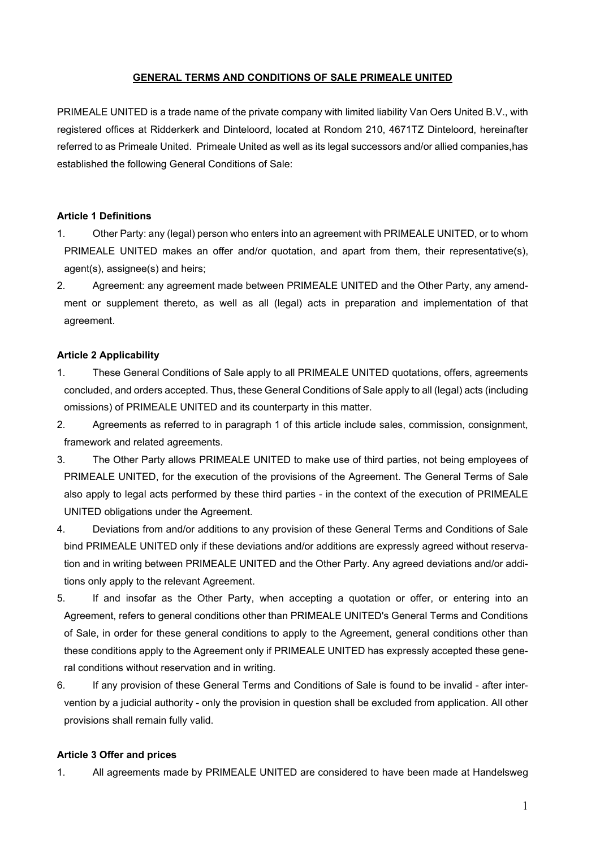## **GENERAL TERMS AND CONDITIONS OF SALE PRIMEALE UNITED**

PRIMEALE UNITED is a trade name of the private company with limited liability Van Oers United B.V., with registered offices at Ridderkerk and Dinteloord, located at Rondom 210, 4671TZ Dinteloord, hereinafter referred to as Primeale United. Primeale United as well as its legal successors and/or allied companies,has established the following General Conditions of Sale:

### **Article 1 Definitions**

- 1. Other Party: any (legal) person who enters into an agreement with PRIMEALE UNITED, or to whom PRIMEALE UNITED makes an offer and/or quotation, and apart from them, their representative(s), agent(s), assignee(s) and heirs;
- 2. Agreement: any agreement made between PRIMEALE UNITED and the Other Party, any amendment or supplement thereto, as well as all (legal) acts in preparation and implementation of that agreement.

#### **Article 2 Applicability**

- 1. These General Conditions of Sale apply to all PRIMEALE UNITED quotations, offers, agreements concluded, and orders accepted. Thus, these General Conditions of Sale apply to all (legal) acts (including omissions) of PRIMEALE UNITED and its counterparty in this matter.
- 2. Agreements as referred to in paragraph 1 of this article include sales, commission, consignment, framework and related agreements.
- 3. The Other Party allows PRIMEALE UNITED to make use of third parties, not being employees of PRIMEALE UNITED, for the execution of the provisions of the Agreement. The General Terms of Sale also apply to legal acts performed by these third parties - in the context of the execution of PRIMEALE UNITED obligations under the Agreement.
- 4. Deviations from and/or additions to any provision of these General Terms and Conditions of Sale bind PRIMEALE UNITED only if these deviations and/or additions are expressly agreed without reservation and in writing between PRIMEALE UNITED and the Other Party. Any agreed deviations and/or additions only apply to the relevant Agreement.
- 5. If and insofar as the Other Party, when accepting a quotation or offer, or entering into an Agreement, refers to general conditions other than PRIMEALE UNITED's General Terms and Conditions of Sale, in order for these general conditions to apply to the Agreement, general conditions other than these conditions apply to the Agreement only if PRIMEALE UNITED has expressly accepted these general conditions without reservation and in writing.
- 6. If any provision of these General Terms and Conditions of Sale is found to be invalid after intervention by a judicial authority - only the provision in question shall be excluded from application. All other provisions shall remain fully valid.

### **Article 3 Offer and prices**

1. All agreements made by PRIMEALE UNITED are considered to have been made at Handelsweg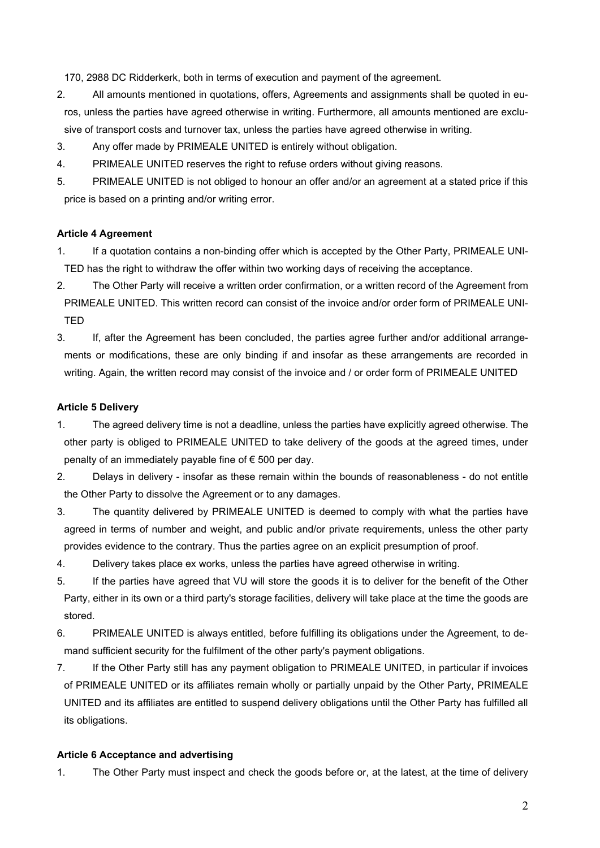170, 2988 DC Ridderkerk, both in terms of execution and payment of the agreement.

- 2. All amounts mentioned in quotations, offers, Agreements and assignments shall be quoted in euros, unless the parties have agreed otherwise in writing. Furthermore, all amounts mentioned are exclusive of transport costs and turnover tax, unless the parties have agreed otherwise in writing.
- 3. Any offer made by PRIMEALE UNITED is entirely without obligation.
- 4. PRIMEALE UNITED reserves the right to refuse orders without giving reasons.
- 5. PRIMEALE UNITED is not obliged to honour an offer and/or an agreement at a stated price if this price is based on a printing and/or writing error.

# **Article 4 Agreement**

- 1. If a quotation contains a non-binding offer which is accepted by the Other Party, PRIMEALE UNI-TED has the right to withdraw the offer within two working days of receiving the acceptance.
- 2. The Other Party will receive a written order confirmation, or a written record of the Agreement from PRIMEALE UNITED. This written record can consist of the invoice and/or order form of PRIMEALE UNI-TED
- 3. If, after the Agreement has been concluded, the parties agree further and/or additional arrangements or modifications, these are only binding if and insofar as these arrangements are recorded in writing. Again, the written record may consist of the invoice and / or order form of PRIMEALE UNITED

## **Article 5 Delivery**

- 1. The agreed delivery time is not a deadline, unless the parties have explicitly agreed otherwise. The other party is obliged to PRIMEALE UNITED to take delivery of the goods at the agreed times, under penalty of an immediately payable fine of € 500 per day.
- 2. Delays in delivery insofar as these remain within the bounds of reasonableness do not entitle the Other Party to dissolve the Agreement or to any damages.
- 3. The quantity delivered by PRIMEALE UNITED is deemed to comply with what the parties have agreed in terms of number and weight, and public and/or private requirements, unless the other party provides evidence to the contrary. Thus the parties agree on an explicit presumption of proof.
- 4. Delivery takes place ex works, unless the parties have agreed otherwise in writing.
- 5. If the parties have agreed that VU will store the goods it is to deliver for the benefit of the Other Party, either in its own or a third party's storage facilities, delivery will take place at the time the goods are stored.
- 6. PRIMEALE UNITED is always entitled, before fulfilling its obligations under the Agreement, to demand sufficient security for the fulfilment of the other party's payment obligations.
- 7. If the Other Party still has any payment obligation to PRIMEALE UNITED, in particular if invoices of PRIMEALE UNITED or its affiliates remain wholly or partially unpaid by the Other Party, PRIMEALE UNITED and its affiliates are entitled to suspend delivery obligations until the Other Party has fulfilled all its obligations.

## **Article 6 Acceptance and advertising**

1. The Other Party must inspect and check the goods before or, at the latest, at the time of delivery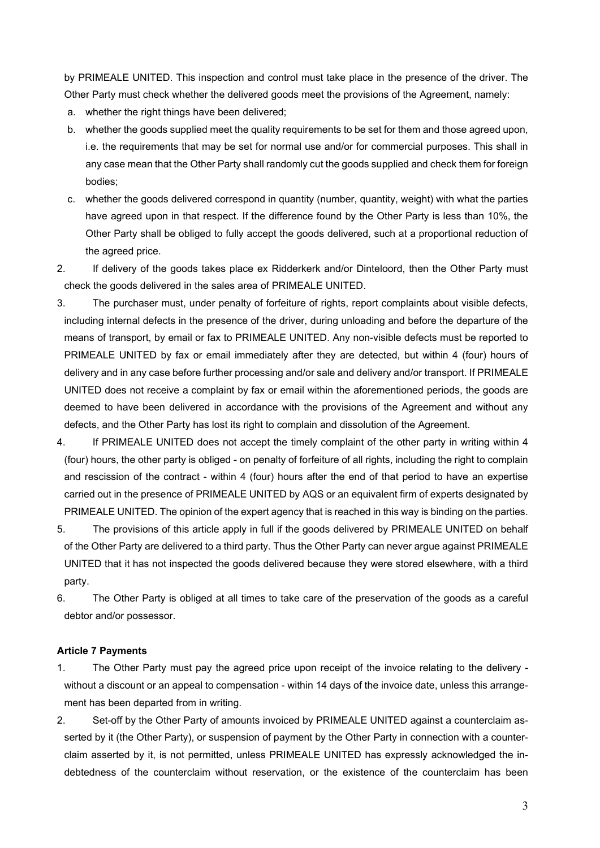by PRIMEALE UNITED. This inspection and control must take place in the presence of the driver. The Other Party must check whether the delivered goods meet the provisions of the Agreement, namely:

- a. whether the right things have been delivered;
- b. whether the goods supplied meet the quality requirements to be set for them and those agreed upon, i.e. the requirements that may be set for normal use and/or for commercial purposes. This shall in any case mean that the Other Party shall randomly cut the goods supplied and check them for foreign bodies;
- c. whether the goods delivered correspond in quantity (number, quantity, weight) with what the parties have agreed upon in that respect. If the difference found by the Other Party is less than 10%, the Other Party shall be obliged to fully accept the goods delivered, such at a proportional reduction of the agreed price.
- 2. If delivery of the goods takes place ex Ridderkerk and/or Dinteloord, then the Other Party must check the goods delivered in the sales area of PRIMEALE UNITED.
- 3. The purchaser must, under penalty of forfeiture of rights, report complaints about visible defects, including internal defects in the presence of the driver, during unloading and before the departure of the means of transport, by email or fax to PRIMEALE UNITED. Any non-visible defects must be reported to PRIMEALE UNITED by fax or email immediately after they are detected, but within 4 (four) hours of delivery and in any case before further processing and/or sale and delivery and/or transport. If PRIMEALE UNITED does not receive a complaint by fax or email within the aforementioned periods, the goods are deemed to have been delivered in accordance with the provisions of the Agreement and without any defects, and the Other Party has lost its right to complain and dissolution of the Agreement.
- 4. If PRIMEALE UNITED does not accept the timely complaint of the other party in writing within 4 (four) hours, the other party is obliged - on penalty of forfeiture of all rights, including the right to complain and rescission of the contract - within 4 (four) hours after the end of that period to have an expertise carried out in the presence of PRIMEALE UNITED by AQS or an equivalent firm of experts designated by PRIMEALE UNITED. The opinion of the expert agency that is reached in this way is binding on the parties.
- 5. The provisions of this article apply in full if the goods delivered by PRIMEALE UNITED on behalf of the Other Party are delivered to a third party. Thus the Other Party can never argue against PRIMEALE UNITED that it has not inspected the goods delivered because they were stored elsewhere, with a third party.
- 6. The Other Party is obliged at all times to take care of the preservation of the goods as a careful debtor and/or possessor.

## **Article 7 Payments**

- 1. The Other Party must pay the agreed price upon receipt of the invoice relating to the delivery without a discount or an appeal to compensation - within 14 days of the invoice date, unless this arrangement has been departed from in writing.
- 2. Set-off by the Other Party of amounts invoiced by PRIMEALE UNITED against a counterclaim asserted by it (the Other Party), or suspension of payment by the Other Party in connection with a counterclaim asserted by it, is not permitted, unless PRIMEALE UNITED has expressly acknowledged the indebtedness of the counterclaim without reservation, or the existence of the counterclaim has been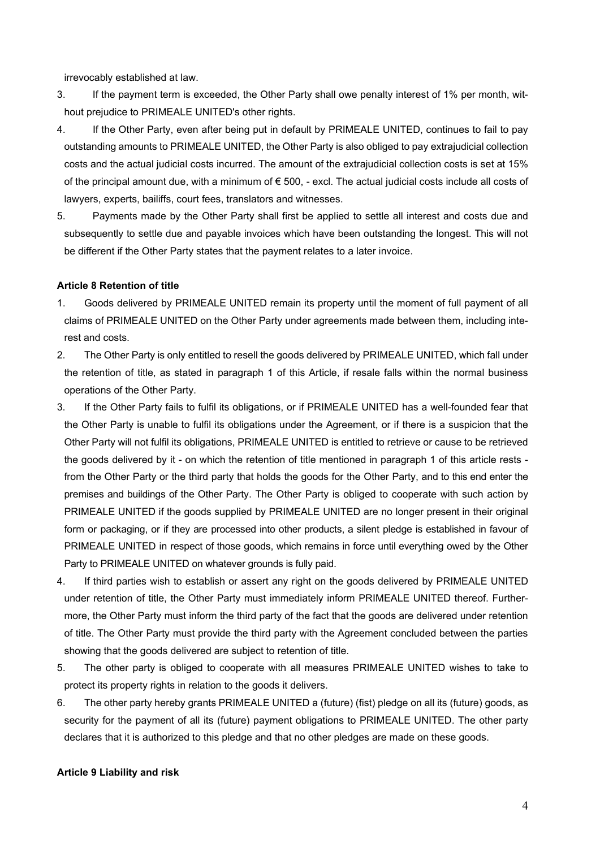irrevocably established at law.

- 3. If the payment term is exceeded, the Other Party shall owe penalty interest of 1% per month, without prejudice to PRIMEALE UNITED's other rights.
- 4. If the Other Party, even after being put in default by PRIMEALE UNITED, continues to fail to pay outstanding amounts to PRIMEALE UNITED, the Other Party is also obliged to pay extrajudicial collection costs and the actual judicial costs incurred. The amount of the extrajudicial collection costs is set at 15% of the principal amount due, with a minimum of € 500, - excl. The actual judicial costs include all costs of lawyers, experts, bailiffs, court fees, translators and witnesses.
- 5. Payments made by the Other Party shall first be applied to settle all interest and costs due and subsequently to settle due and payable invoices which have been outstanding the longest. This will not be different if the Other Party states that the payment relates to a later invoice.

### **Article 8 Retention of title**

- 1. Goods delivered by PRIMEALE UNITED remain its property until the moment of full payment of all claims of PRIMEALE UNITED on the Other Party under agreements made between them, including interest and costs.
- 2. The Other Party is only entitled to resell the goods delivered by PRIMEALE UNITED, which fall under the retention of title, as stated in paragraph 1 of this Article, if resale falls within the normal business operations of the Other Party.
- 3. If the Other Party fails to fulfil its obligations, or if PRIMEALE UNITED has a well-founded fear that the Other Party is unable to fulfil its obligations under the Agreement, or if there is a suspicion that the Other Party will not fulfil its obligations, PRIMEALE UNITED is entitled to retrieve or cause to be retrieved the goods delivered by it - on which the retention of title mentioned in paragraph 1 of this article rests from the Other Party or the third party that holds the goods for the Other Party, and to this end enter the premises and buildings of the Other Party. The Other Party is obliged to cooperate with such action by PRIMEALE UNITED if the goods supplied by PRIMEALE UNITED are no longer present in their original form or packaging, or if they are processed into other products, a silent pledge is established in favour of PRIMEALE UNITED in respect of those goods, which remains in force until everything owed by the Other Party to PRIMEALE UNITED on whatever grounds is fully paid.
- 4. If third parties wish to establish or assert any right on the goods delivered by PRIMEALE UNITED under retention of title, the Other Party must immediately inform PRIMEALE UNITED thereof. Furthermore, the Other Party must inform the third party of the fact that the goods are delivered under retention of title. The Other Party must provide the third party with the Agreement concluded between the parties showing that the goods delivered are subject to retention of title.
- 5. The other party is obliged to cooperate with all measures PRIMEALE UNITED wishes to take to protect its property rights in relation to the goods it delivers.
- 6. The other party hereby grants PRIMEALE UNITED a (future) (fist) pledge on all its (future) goods, as security for the payment of all its (future) payment obligations to PRIMEALE UNITED. The other party declares that it is authorized to this pledge and that no other pledges are made on these goods.

### **Article 9 Liability and risk**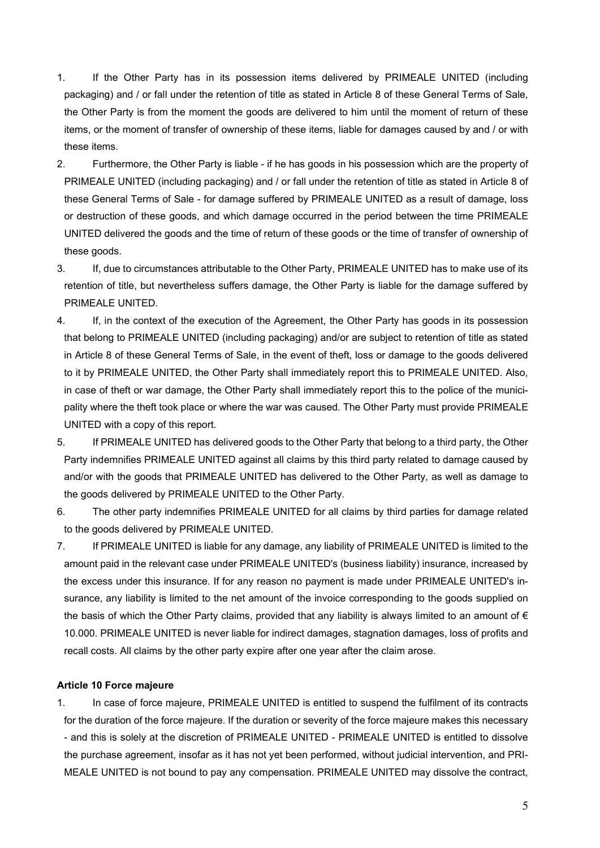- 1. If the Other Party has in its possession items delivered by PRIMEALE UNITED (including packaging) and / or fall under the retention of title as stated in Article 8 of these General Terms of Sale, the Other Party is from the moment the goods are delivered to him until the moment of return of these items, or the moment of transfer of ownership of these items, liable for damages caused by and / or with these items.
- 2. Furthermore, the Other Party is liable if he has goods in his possession which are the property of PRIMEALE UNITED (including packaging) and / or fall under the retention of title as stated in Article 8 of these General Terms of Sale - for damage suffered by PRIMEALE UNITED as a result of damage, loss or destruction of these goods, and which damage occurred in the period between the time PRIMEALE UNITED delivered the goods and the time of return of these goods or the time of transfer of ownership of these goods.
- 3. If, due to circumstances attributable to the Other Party, PRIMEALE UNITED has to make use of its retention of title, but nevertheless suffers damage, the Other Party is liable for the damage suffered by PRIMEALE UNITED.
- 4. If, in the context of the execution of the Agreement, the Other Party has goods in its possession that belong to PRIMEALE UNITED (including packaging) and/or are subject to retention of title as stated in Article 8 of these General Terms of Sale, in the event of theft, loss or damage to the goods delivered to it by PRIMEALE UNITED, the Other Party shall immediately report this to PRIMEALE UNITED. Also, in case of theft or war damage, the Other Party shall immediately report this to the police of the municipality where the theft took place or where the war was caused. The Other Party must provide PRIMEALE UNITED with a copy of this report.
- 5. If PRIMEALE UNITED has delivered goods to the Other Party that belong to a third party, the Other Party indemnifies PRIMEALE UNITED against all claims by this third party related to damage caused by and/or with the goods that PRIMEALE UNITED has delivered to the Other Party, as well as damage to the goods delivered by PRIMEALE UNITED to the Other Party.
- 6. The other party indemnifies PRIMEALE UNITED for all claims by third parties for damage related to the goods delivered by PRIMEALE UNITED.
- 7. If PRIMEALE UNITED is liable for any damage, any liability of PRIMEALE UNITED is limited to the amount paid in the relevant case under PRIMEALE UNITED's (business liability) insurance, increased by the excess under this insurance. If for any reason no payment is made under PRIMEALE UNITED's insurance, any liability is limited to the net amount of the invoice corresponding to the goods supplied on the basis of which the Other Party claims, provided that any liability is always limited to an amount of  $\epsilon$ 10.000. PRIMEALE UNITED is never liable for indirect damages, stagnation damages, loss of profits and recall costs. All claims by the other party expire after one year after the claim arose.

### **Article 10 Force majeure**

1. In case of force majeure, PRIMEALE UNITED is entitled to suspend the fulfilment of its contracts for the duration of the force majeure. If the duration or severity of the force majeure makes this necessary - and this is solely at the discretion of PRIMEALE UNITED - PRIMEALE UNITED is entitled to dissolve the purchase agreement, insofar as it has not yet been performed, without judicial intervention, and PRI-MEALE UNITED is not bound to pay any compensation. PRIMEALE UNITED may dissolve the contract,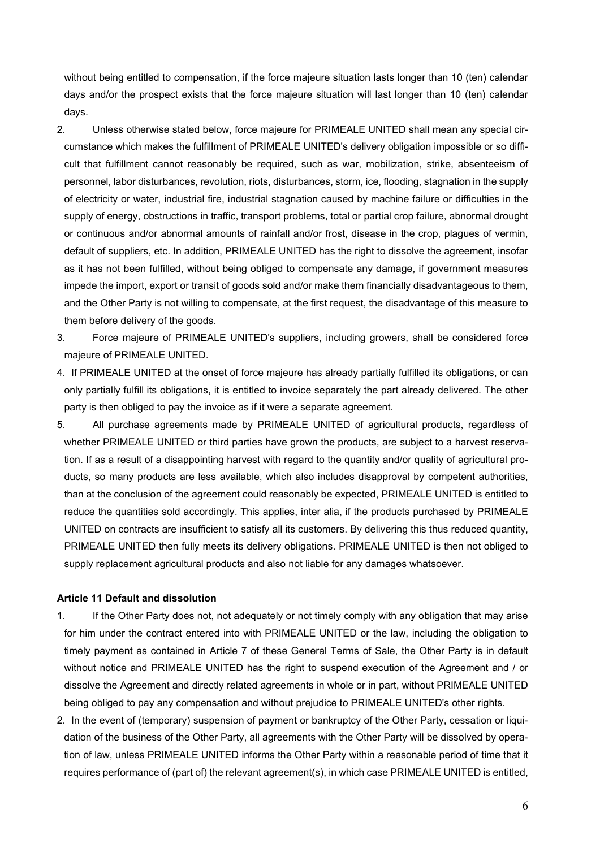without being entitled to compensation, if the force majeure situation lasts longer than 10 (ten) calendar days and/or the prospect exists that the force majeure situation will last longer than 10 (ten) calendar days.

- 2. Unless otherwise stated below, force majeure for PRIMEALE UNITED shall mean any special circumstance which makes the fulfillment of PRIMEALE UNITED's delivery obligation impossible or so difficult that fulfillment cannot reasonably be required, such as war, mobilization, strike, absenteeism of personnel, labor disturbances, revolution, riots, disturbances, storm, ice, flooding, stagnation in the supply of electricity or water, industrial fire, industrial stagnation caused by machine failure or difficulties in the supply of energy, obstructions in traffic, transport problems, total or partial crop failure, abnormal drought or continuous and/or abnormal amounts of rainfall and/or frost, disease in the crop, plagues of vermin, default of suppliers, etc. In addition, PRIMEALE UNITED has the right to dissolve the agreement, insofar as it has not been fulfilled, without being obliged to compensate any damage, if government measures impede the import, export or transit of goods sold and/or make them financially disadvantageous to them, and the Other Party is not willing to compensate, at the first request, the disadvantage of this measure to them before delivery of the goods.
- 3. Force majeure of PRIMEALE UNITED's suppliers, including growers, shall be considered force majeure of PRIMEALE UNITED.
- 4. If PRIMEALE UNITED at the onset of force majeure has already partially fulfilled its obligations, or can only partially fulfill its obligations, it is entitled to invoice separately the part already delivered. The other party is then obliged to pay the invoice as if it were a separate agreement.
- 5. All purchase agreements made by PRIMEALE UNITED of agricultural products, regardless of whether PRIMEALE UNITED or third parties have grown the products, are subject to a harvest reservation. If as a result of a disappointing harvest with regard to the quantity and/or quality of agricultural products, so many products are less available, which also includes disapproval by competent authorities, than at the conclusion of the agreement could reasonably be expected, PRIMEALE UNITED is entitled to reduce the quantities sold accordingly. This applies, inter alia, if the products purchased by PRIMEALE UNITED on contracts are insufficient to satisfy all its customers. By delivering this thus reduced quantity, PRIMEALE UNITED then fully meets its delivery obligations. PRIMEALE UNITED is then not obliged to supply replacement agricultural products and also not liable for any damages whatsoever.

#### **Article 11 Default and dissolution**

- 1. If the Other Party does not, not adequately or not timely comply with any obligation that may arise for him under the contract entered into with PRIMEALE UNITED or the law, including the obligation to timely payment as contained in Article 7 of these General Terms of Sale, the Other Party is in default without notice and PRIMEALE UNITED has the right to suspend execution of the Agreement and / or dissolve the Agreement and directly related agreements in whole or in part, without PRIMEALE UNITED being obliged to pay any compensation and without prejudice to PRIMEALE UNITED's other rights.
- 2. In the event of (temporary) suspension of payment or bankruptcy of the Other Party, cessation or liquidation of the business of the Other Party, all agreements with the Other Party will be dissolved by operation of law, unless PRIMEALE UNITED informs the Other Party within a reasonable period of time that it requires performance of (part of) the relevant agreement(s), in which case PRIMEALE UNITED is entitled,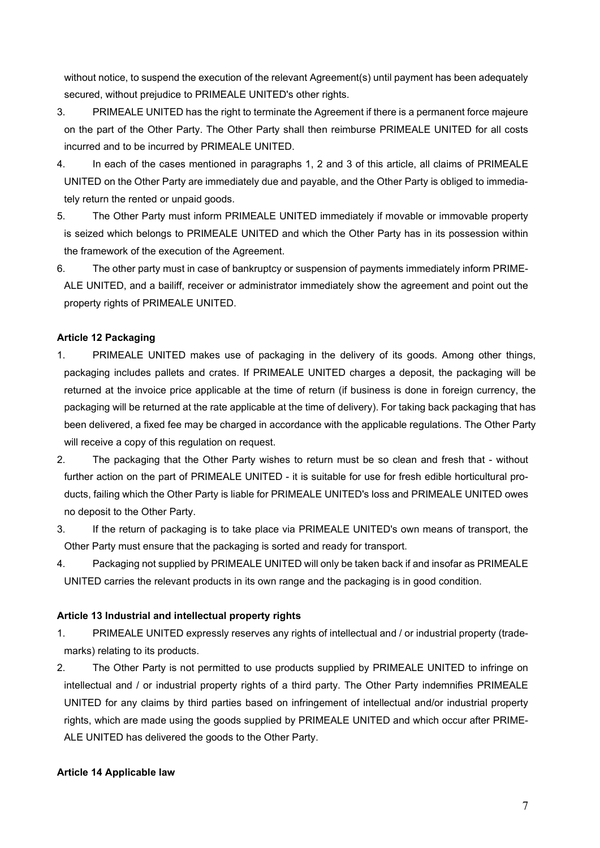without notice, to suspend the execution of the relevant Agreement(s) until payment has been adequately secured, without prejudice to PRIMEALE UNITED's other rights.

- 3. PRIMEALE UNITED has the right to terminate the Agreement if there is a permanent force majeure on the part of the Other Party. The Other Party shall then reimburse PRIMEALE UNITED for all costs incurred and to be incurred by PRIMEALE UNITED.
- 4. In each of the cases mentioned in paragraphs 1, 2 and 3 of this article, all claims of PRIMEALE UNITED on the Other Party are immediately due and payable, and the Other Party is obliged to immediately return the rented or unpaid goods.
- 5. The Other Party must inform PRIMEALE UNITED immediately if movable or immovable property is seized which belongs to PRIMEALE UNITED and which the Other Party has in its possession within the framework of the execution of the Agreement.
- 6. The other party must in case of bankruptcy or suspension of payments immediately inform PRIME-ALE UNITED, and a bailiff, receiver or administrator immediately show the agreement and point out the property rights of PRIMEALE UNITED.

# **Article 12 Packaging**

- 1. PRIMEALE UNITED makes use of packaging in the delivery of its goods. Among other things, packaging includes pallets and crates. If PRIMEALE UNITED charges a deposit, the packaging will be returned at the invoice price applicable at the time of return (if business is done in foreign currency, the packaging will be returned at the rate applicable at the time of delivery). For taking back packaging that has been delivered, a fixed fee may be charged in accordance with the applicable regulations. The Other Party will receive a copy of this regulation on request.
- 2. The packaging that the Other Party wishes to return must be so clean and fresh that without further action on the part of PRIMEALE UNITED - it is suitable for use for fresh edible horticultural products, failing which the Other Party is liable for PRIMEALE UNITED's loss and PRIMEALE UNITED owes no deposit to the Other Party.
- 3. If the return of packaging is to take place via PRIMEALE UNITED's own means of transport, the Other Party must ensure that the packaging is sorted and ready for transport.
- 4. Packaging not supplied by PRIMEALE UNITED will only be taken back if and insofar as PRIMEALE UNITED carries the relevant products in its own range and the packaging is in good condition.

## **Article 13 Industrial and intellectual property rights**

- 1. PRIMEALE UNITED expressly reserves any rights of intellectual and / or industrial property (trademarks) relating to its products.
- 2. The Other Party is not permitted to use products supplied by PRIMEALE UNITED to infringe on intellectual and / or industrial property rights of a third party. The Other Party indemnifies PRIMEALE UNITED for any claims by third parties based on infringement of intellectual and/or industrial property rights, which are made using the goods supplied by PRIMEALE UNITED and which occur after PRIME-ALE UNITED has delivered the goods to the Other Party.

## **Article 14 Applicable law**